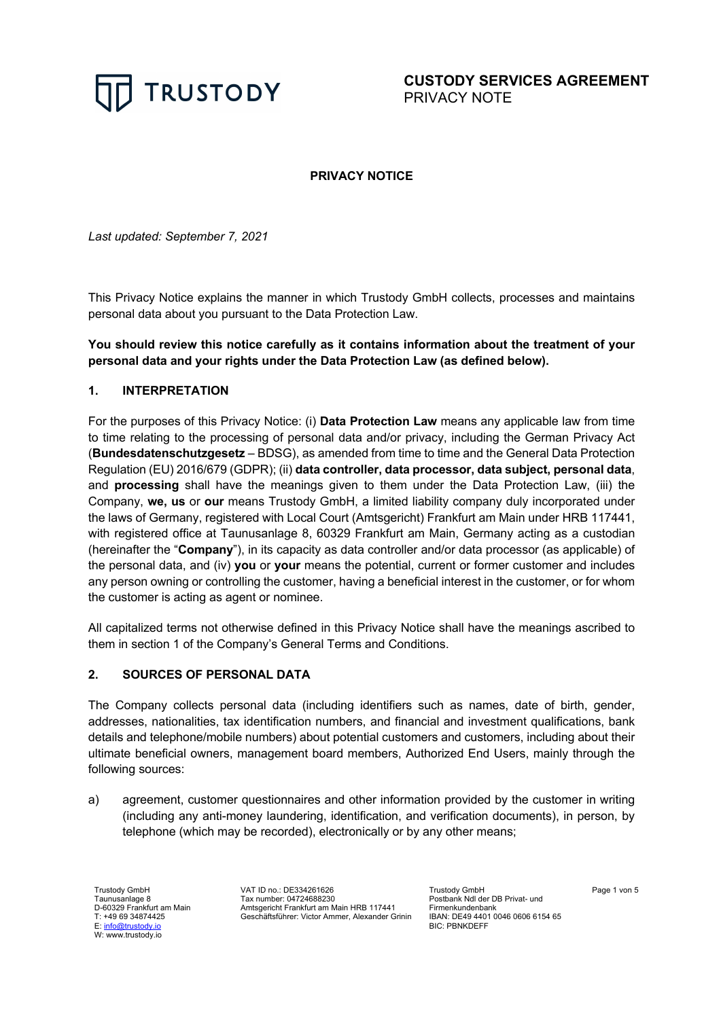

**CUSTODY SERVICES AGREEMENT**  PRIVACY NOTE

### **PRIVACY NOTICE**

*Last updated: September 7, 2021*

This Privacy Notice explains the manner in which Trustody GmbH collects, processes and maintains personal data about you pursuant to the Data Protection Law.

# **You should review this notice carefully as it contains information about the treatment of your personal data and your rights under the Data Protection Law (as defined below).**

#### **1. INTERPRETATION**

For the purposes of this Privacy Notice: (i) **Data Protection Law** means any applicable law from time to time relating to the processing of personal data and/or privacy, including the German Privacy Act (**Bundesdatenschutzgesetz** – BDSG), as amended from time to time and the General Data Protection Regulation (EU) 2016/679 (GDPR); (ii) **data controller, data processor, data subject, personal data**, and **processing** shall have the meanings given to them under the Data Protection Law, (iii) the Company, **we, us** or **our** means Trustody GmbH, a limited liability company duly incorporated under the laws of Germany, registered with Local Court (Amtsgericht) Frankfurt am Main under HRB 117441, with registered office at Taunusanlage 8, 60329 Frankfurt am Main, Germany acting as a custodian (hereinafter the "**Company**"), in its capacity as data controller and/or data processor (as applicable) of the personal data, and (iv) **you** or **your** means the potential, current or former customer and includes any person owning or controlling the customer, having a beneficial interest in the customer, or for whom the customer is acting as agent or nominee.

All capitalized terms not otherwise defined in this Privacy Notice shall have the meanings ascribed to them in section 1 of the Company's General Terms and Conditions.

### **2. SOURCES OF PERSONAL DATA**

The Company collects personal data (including identifiers such as names, date of birth, gender, addresses, nationalities, tax identification numbers, and financial and investment qualifications, bank details and telephone/mobile numbers) about potential customers and customers, including about their ultimate beneficial owners, management board members, Authorized End Users, mainly through the following sources:

a) agreement, customer questionnaires and other information provided by the customer in writing (including any anti-money laundering, identification, and verification documents), in person, by telephone (which may be recorded), electronically or by any other means;

Trustody GmbH Taunusanlage 8 D-60329 Frankfurt am Main T: +49 69 34874425 E: info@trustody.io W: www.trustody.io

VAT ID no.: DE334261626 Tax number: 04724688230 Amtsgericht Frankfurt am Main HRB 117441 Geschäftsführer: Victor Ammer, Alexander Grinin

Trustody GmbH Postbank Ndl der DB Privat- und Firmenkundenbank IBAN: DE49 4401 0046 0606 6154 65 BIC: PBNKDEFF

Page 1 von 5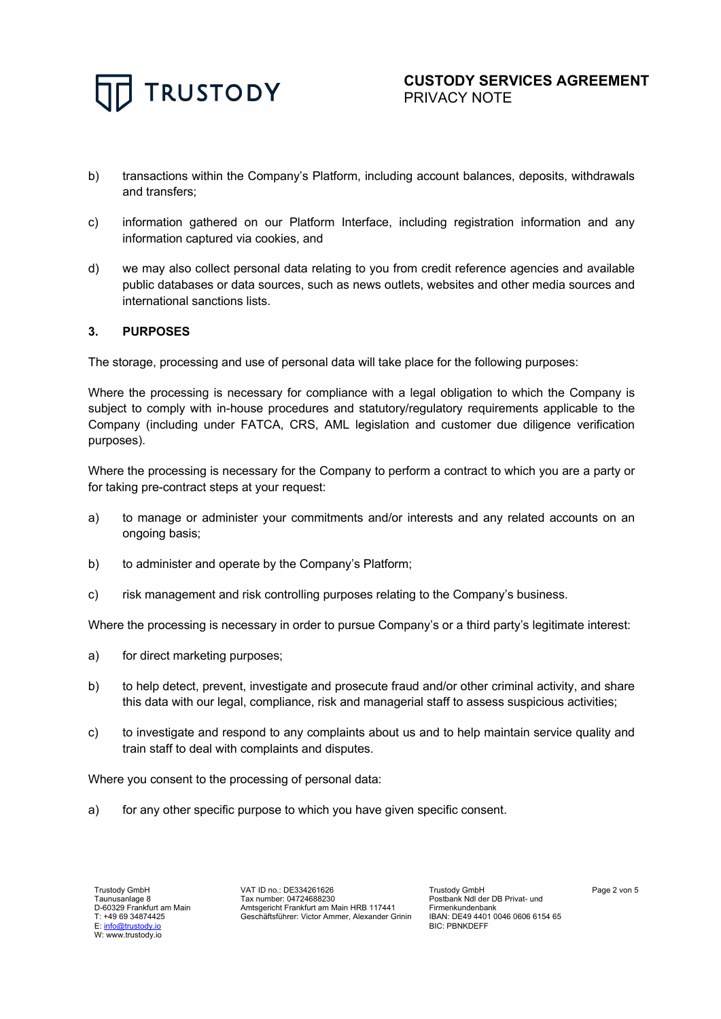

- b) transactions within the Company's Platform, including account balances, deposits, withdrawals and transfers;
- c) information gathered on our Platform Interface, including registration information and any information captured via cookies, and
- d) we may also collect personal data relating to you from credit reference agencies and available public databases or data sources, such as news outlets, websites and other media sources and international sanctions lists.

### **3. PURPOSES**

The storage, processing and use of personal data will take place for the following purposes:

Where the processing is necessary for compliance with a legal obligation to which the Company is subject to comply with in-house procedures and statutory/regulatory requirements applicable to the Company (including under FATCA, CRS, AML legislation and customer due diligence verification purposes).

Where the processing is necessary for the Company to perform a contract to which you are a party or for taking pre-contract steps at your request:

- a) to manage or administer your commitments and/or interests and any related accounts on an ongoing basis;
- b) to administer and operate by the Company's Platform;
- c) risk management and risk controlling purposes relating to the Company's business.

Where the processing is necessary in order to pursue Company's or a third party's legitimate interest:

- a) for direct marketing purposes;
- b) to help detect, prevent, investigate and prosecute fraud and/or other criminal activity, and share this data with our legal, compliance, risk and managerial staff to assess suspicious activities;
- c) to investigate and respond to any complaints about us and to help maintain service quality and train staff to deal with complaints and disputes.

Where you consent to the processing of personal data:

a) for any other specific purpose to which you have given specific consent.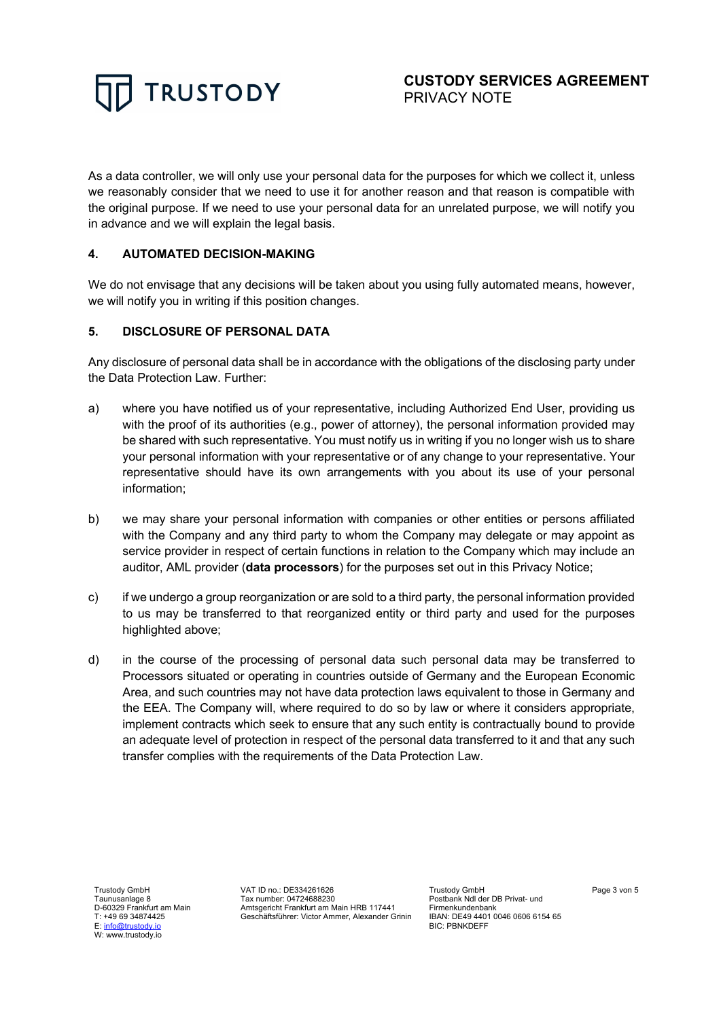

As a data controller, we will only use your personal data for the purposes for which we collect it, unless we reasonably consider that we need to use it for another reason and that reason is compatible with the original purpose. If we need to use your personal data for an unrelated purpose, we will notify you in advance and we will explain the legal basis.

# **4. AUTOMATED DECISION-MAKING**

We do not envisage that any decisions will be taken about you using fully automated means, however, we will notify you in writing if this position changes.

# **5. DISCLOSURE OF PERSONAL DATA**

Any disclosure of personal data shall be in accordance with the obligations of the disclosing party under the Data Protection Law. Further:

- a) where you have notified us of your representative, including Authorized End User, providing us with the proof of its authorities (e.g., power of attorney), the personal information provided may be shared with such representative. You must notify us in writing if you no longer wish us to share your personal information with your representative or of any change to your representative. Your representative should have its own arrangements with you about its use of your personal information;
- b) we may share your personal information with companies or other entities or persons affiliated with the Company and any third party to whom the Company may delegate or may appoint as service provider in respect of certain functions in relation to the Company which may include an auditor, AML provider (**data processors**) for the purposes set out in this Privacy Notice;
- c) if we undergo a group reorganization or are sold to a third party, the personal information provided to us may be transferred to that reorganized entity or third party and used for the purposes highlighted above;
- d) in the course of the processing of personal data such personal data may be transferred to Processors situated or operating in countries outside of Germany and the European Economic Area, and such countries may not have data protection laws equivalent to those in Germany and the EEA. The Company will, where required to do so by law or where it considers appropriate, implement contracts which seek to ensure that any such entity is contractually bound to provide an adequate level of protection in respect of the personal data transferred to it and that any such transfer complies with the requirements of the Data Protection Law.

Trustody GmbH Taunusanlage 8 D-60329 Frankfurt am Main T: +49 69 34874425 E: info@trustody.io W: www.trustody.io

VAT ID no.: DE334261626 Tax number: 04724688230 Amtsgericht Frankfurt am Main HRB 117441 Geschäftsführer: Victor Ammer, Alexander Grinin

Trustody GmbH Postbank Ndl der DB Privat- und Firmenkundenbank IBAN: DE49 4401 0046 0606 6154 65 BIC: PBNKDEFF

Page 3 von 5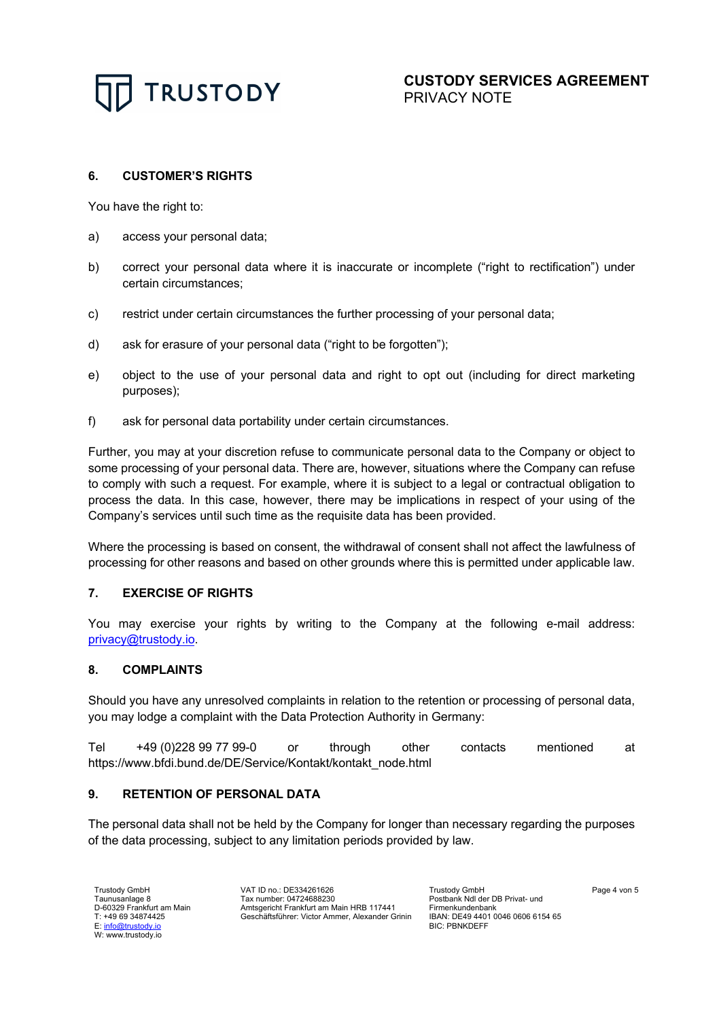

### **6. CUSTOMER'S RIGHTS**

You have the right to:

- a) access your personal data;
- b) correct your personal data where it is inaccurate or incomplete ("right to rectification") under certain circumstances;
- c) restrict under certain circumstances the further processing of your personal data;
- d) ask for erasure of your personal data ("right to be forgotten");
- e) object to the use of your personal data and right to opt out (including for direct marketing purposes);
- f) ask for personal data portability under certain circumstances.

Further, you may at your discretion refuse to communicate personal data to the Company or object to some processing of your personal data. There are, however, situations where the Company can refuse to comply with such a request. For example, where it is subject to a legal or contractual obligation to process the data. In this case, however, there may be implications in respect of your using of the Company's services until such time as the requisite data has been provided.

Where the processing is based on consent, the withdrawal of consent shall not affect the lawfulness of processing for other reasons and based on other grounds where this is permitted under applicable law.

#### **7. EXERCISE OF RIGHTS**

You may exercise your rights by writing to the Company at the following e-mail address: privacy@trustody.io.

#### **8. COMPLAINTS**

Should you have any unresolved complaints in relation to the retention or processing of personal data, you may lodge a complaint with the Data Protection Authority in Germany:

Tel +49 (0)228 99 77 99-0 or through other contacts mentioned at https://www.bfdi.bund.de/DE/Service/Kontakt/kontakt\_node.html

# **9. RETENTION OF PERSONAL DATA**

The personal data shall not be held by the Company for longer than necessary regarding the purposes of the data processing, subject to any limitation periods provided by law.

Trustody GmbH Taunusanlage 8 D-60329 Frankfurt am Main T: +49 69 34874425 E: info@trustody.io W: www.trustody.io

VAT ID no.: DE334261626 Tax number: 04724688230 Amtsgericht Frankfurt am Main HRB 117441 Geschäftsführer: Victor Ammer, Alexander Grinin Trustody GmbH Postbank Ndl der DB Privat- und Firmenkundenbank IBAN: DE49 4401 0046 0606 6154 65 BIC: PBNKDEFF

Page 4 von 5